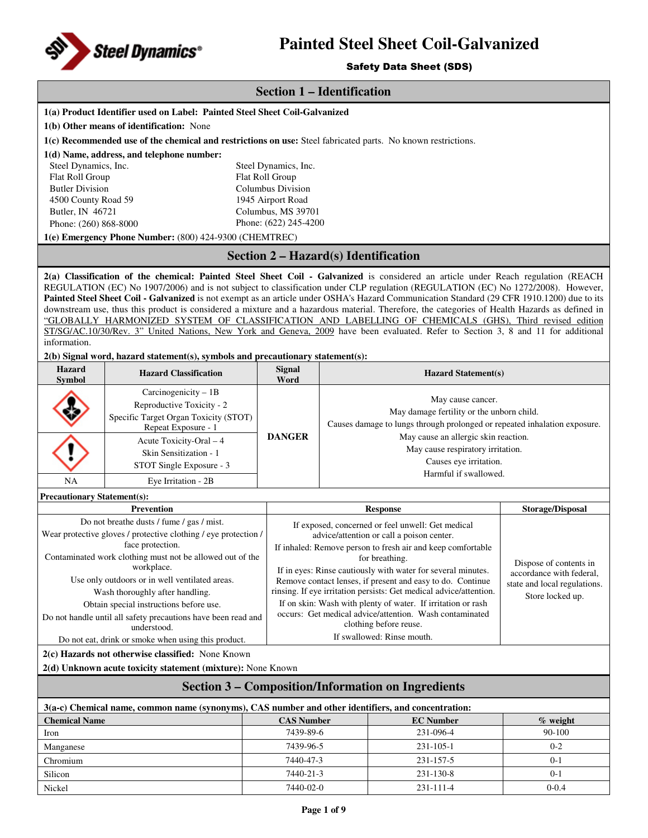

# Safety Data Sheet (SDS)

| Jarety Data Sheet (SDS)                 |                                                                                                                                                                                                                                                                                                                                                                                                                                                                                                                                                                                                                                                                                                                                                                                                                    |                                                                                                |                                                                           |                                                                                                                                    |                              |  |
|-----------------------------------------|--------------------------------------------------------------------------------------------------------------------------------------------------------------------------------------------------------------------------------------------------------------------------------------------------------------------------------------------------------------------------------------------------------------------------------------------------------------------------------------------------------------------------------------------------------------------------------------------------------------------------------------------------------------------------------------------------------------------------------------------------------------------------------------------------------------------|------------------------------------------------------------------------------------------------|---------------------------------------------------------------------------|------------------------------------------------------------------------------------------------------------------------------------|------------------------------|--|
|                                         | <b>Section 1 – Identification</b>                                                                                                                                                                                                                                                                                                                                                                                                                                                                                                                                                                                                                                                                                                                                                                                  |                                                                                                |                                                                           |                                                                                                                                    |                              |  |
|                                         | 1(a) Product Identifier used on Label: Painted Steel Sheet Coil-Galvanized                                                                                                                                                                                                                                                                                                                                                                                                                                                                                                                                                                                                                                                                                                                                         |                                                                                                |                                                                           |                                                                                                                                    |                              |  |
|                                         | 1(b) Other means of identification: None                                                                                                                                                                                                                                                                                                                                                                                                                                                                                                                                                                                                                                                                                                                                                                           |                                                                                                |                                                                           |                                                                                                                                    |                              |  |
|                                         | 1(c) Recommended use of the chemical and restrictions on use: Steel fabricated parts. No known restrictions.                                                                                                                                                                                                                                                                                                                                                                                                                                                                                                                                                                                                                                                                                                       |                                                                                                |                                                                           |                                                                                                                                    |                              |  |
|                                         | 1(d) Name, address, and telephone number:                                                                                                                                                                                                                                                                                                                                                                                                                                                                                                                                                                                                                                                                                                                                                                          |                                                                                                |                                                                           |                                                                                                                                    |                              |  |
|                                         | Steel Dynamics, Inc.<br>Steel Dynamics, Inc.                                                                                                                                                                                                                                                                                                                                                                                                                                                                                                                                                                                                                                                                                                                                                                       |                                                                                                |                                                                           |                                                                                                                                    |                              |  |
| Flat Roll Group                         |                                                                                                                                                                                                                                                                                                                                                                                                                                                                                                                                                                                                                                                                                                                                                                                                                    | Flat Roll Group                                                                                |                                                                           |                                                                                                                                    |                              |  |
| <b>Butler Division</b>                  |                                                                                                                                                                                                                                                                                                                                                                                                                                                                                                                                                                                                                                                                                                                                                                                                                    | <b>Columbus Division</b>                                                                       |                                                                           |                                                                                                                                    |                              |  |
| 4500 County Road 59<br>Butler, IN 46721 |                                                                                                                                                                                                                                                                                                                                                                                                                                                                                                                                                                                                                                                                                                                                                                                                                    | 1945 Airport Road<br>Columbus, MS 39701                                                        |                                                                           |                                                                                                                                    |                              |  |
| Phone: (260) 868-8000                   |                                                                                                                                                                                                                                                                                                                                                                                                                                                                                                                                                                                                                                                                                                                                                                                                                    | Phone: (622) 245-4200                                                                          |                                                                           |                                                                                                                                    |                              |  |
|                                         | 1(e) Emergency Phone Number: (800) 424-9300 (CHEMTREC)                                                                                                                                                                                                                                                                                                                                                                                                                                                                                                                                                                                                                                                                                                                                                             |                                                                                                |                                                                           |                                                                                                                                    |                              |  |
|                                         |                                                                                                                                                                                                                                                                                                                                                                                                                                                                                                                                                                                                                                                                                                                                                                                                                    | <b>Section 2 – Hazard(s) Identification</b>                                                    |                                                                           |                                                                                                                                    |                              |  |
| information.                            | 2(a) Classification of the chemical: Painted Steel Sheet Coil - Galvanized is considered an article under Reach regulation (REACH<br>REGULATION (EC) No 1907/2006) and is not subject to classification under CLP regulation (REGULATION (EC) No 1272/2008). However,<br>Painted Steel Sheet Coil - Galvanized is not exempt as an article under OSHA's Hazard Communication Standard (29 CFR 1910.1200) due to its<br>downstream use, thus this product is considered a mixture and a hazardous material. Therefore, the categories of Health Hazards as defined in<br>"GLOBALLY HARMONIZED SYSTEM OF CLASSIFICATION AND LABELLING OF CHEMICALS (GHS), Third revised edition<br>ST/SG/AC.10/30/Rev. 3" United Nations, New York and Geneva, 2009 have been evaluated. Refer to Section 3, 8 and 11 for additional |                                                                                                |                                                                           |                                                                                                                                    |                              |  |
|                                         | 2(b) Signal word, hazard statement(s), symbols and precautionary statement(s):                                                                                                                                                                                                                                                                                                                                                                                                                                                                                                                                                                                                                                                                                                                                     |                                                                                                |                                                                           |                                                                                                                                    |                              |  |
| <b>Hazard</b><br><b>Symbol</b>          | <b>Hazard Classification</b>                                                                                                                                                                                                                                                                                                                                                                                                                                                                                                                                                                                                                                                                                                                                                                                       | <b>Signal</b><br>Word                                                                          |                                                                           | <b>Hazard Statement(s)</b>                                                                                                         |                              |  |
|                                         | Carcinogenicity $-1B$                                                                                                                                                                                                                                                                                                                                                                                                                                                                                                                                                                                                                                                                                                                                                                                              |                                                                                                |                                                                           |                                                                                                                                    |                              |  |
|                                         | Reproductive Toxicity - 2                                                                                                                                                                                                                                                                                                                                                                                                                                                                                                                                                                                                                                                                                                                                                                                          |                                                                                                |                                                                           | May cause cancer.<br>May damage fertility or the unborn child.                                                                     |                              |  |
|                                         | Specific Target Organ Toxicity (STOT)                                                                                                                                                                                                                                                                                                                                                                                                                                                                                                                                                                                                                                                                                                                                                                              |                                                                                                | Causes damage to lungs through prolonged or repeated inhalation exposure. |                                                                                                                                    |                              |  |
|                                         | Repeat Exposure - 1                                                                                                                                                                                                                                                                                                                                                                                                                                                                                                                                                                                                                                                                                                                                                                                                |                                                                                                |                                                                           | May cause an allergic skin reaction.                                                                                               |                              |  |
|                                         | Acute Toxicity-Oral - 4<br>Skin Sensitization - 1                                                                                                                                                                                                                                                                                                                                                                                                                                                                                                                                                                                                                                                                                                                                                                  | May cause respiratory irritation.<br>Causes eye irritation.                                    |                                                                           |                                                                                                                                    |                              |  |
|                                         | STOT Single Exposure - 3                                                                                                                                                                                                                                                                                                                                                                                                                                                                                                                                                                                                                                                                                                                                                                                           |                                                                                                |                                                                           |                                                                                                                                    |                              |  |
| <b>NA</b>                               | Eye Irritation - 2B                                                                                                                                                                                                                                                                                                                                                                                                                                                                                                                                                                                                                                                                                                                                                                                                |                                                                                                | Harmful if swallowed.                                                     |                                                                                                                                    |                              |  |
|                                         |                                                                                                                                                                                                                                                                                                                                                                                                                                                                                                                                                                                                                                                                                                                                                                                                                    |                                                                                                |                                                                           |                                                                                                                                    |                              |  |
| <b>Precautionary Statement(s):</b>      | <b>Prevention</b>                                                                                                                                                                                                                                                                                                                                                                                                                                                                                                                                                                                                                                                                                                                                                                                                  |                                                                                                |                                                                           | <b>Response</b>                                                                                                                    | <b>Storage/Disposal</b>      |  |
|                                         | Do not breathe dusts / fume / gas / mist.                                                                                                                                                                                                                                                                                                                                                                                                                                                                                                                                                                                                                                                                                                                                                                          |                                                                                                |                                                                           |                                                                                                                                    |                              |  |
|                                         | Wear protective gloves / protective clothing / eye protection /                                                                                                                                                                                                                                                                                                                                                                                                                                                                                                                                                                                                                                                                                                                                                    | If exposed, concerned or feel unwell: Get medical<br>advice/attention or call a poison center. |                                                                           |                                                                                                                                    |                              |  |
|                                         | face protection.                                                                                                                                                                                                                                                                                                                                                                                                                                                                                                                                                                                                                                                                                                                                                                                                   |                                                                                                | If inhaled: Remove person to fresh air and keep comfortable               |                                                                                                                                    |                              |  |
|                                         | Contaminated work clothing must not be allowed out of the                                                                                                                                                                                                                                                                                                                                                                                                                                                                                                                                                                                                                                                                                                                                                          |                                                                                                |                                                                           | for breathing.                                                                                                                     | Dispose of contents in       |  |
|                                         | workplace.                                                                                                                                                                                                                                                                                                                                                                                                                                                                                                                                                                                                                                                                                                                                                                                                         |                                                                                                |                                                                           | If in eyes: Rinse cautiously with water for several minutes.                                                                       | accordance with federal,     |  |
|                                         | Use only outdoors or in well ventilated areas.                                                                                                                                                                                                                                                                                                                                                                                                                                                                                                                                                                                                                                                                                                                                                                     |                                                                                                |                                                                           | Remove contact lenses, if present and easy to do. Continue                                                                         | state and local regulations. |  |
|                                         | Wash thoroughly after handling.                                                                                                                                                                                                                                                                                                                                                                                                                                                                                                                                                                                                                                                                                                                                                                                    |                                                                                                |                                                                           | rinsing. If eye irritation persists: Get medical advice/attention.<br>If on skin: Wash with plenty of water. If irritation or rash | Store locked up.             |  |
|                                         | Obtain special instructions before use.<br>Do not handle until all safety precautions have been read and                                                                                                                                                                                                                                                                                                                                                                                                                                                                                                                                                                                                                                                                                                           |                                                                                                |                                                                           | occurs: Get medical advice/attention. Wash contaminated                                                                            |                              |  |
|                                         | understood.                                                                                                                                                                                                                                                                                                                                                                                                                                                                                                                                                                                                                                                                                                                                                                                                        |                                                                                                |                                                                           | clothing before reuse.                                                                                                             |                              |  |
|                                         | Do not eat, drink or smoke when using this product.                                                                                                                                                                                                                                                                                                                                                                                                                                                                                                                                                                                                                                                                                                                                                                |                                                                                                |                                                                           | If swallowed: Rinse mouth.                                                                                                         |                              |  |
|                                         | 2(c) Hazards not otherwise classified: None Known                                                                                                                                                                                                                                                                                                                                                                                                                                                                                                                                                                                                                                                                                                                                                                  |                                                                                                |                                                                           |                                                                                                                                    |                              |  |
|                                         | 2(d) Unknown acute toxicity statement (mixture): None Known                                                                                                                                                                                                                                                                                                                                                                                                                                                                                                                                                                                                                                                                                                                                                        |                                                                                                |                                                                           |                                                                                                                                    |                              |  |
|                                         |                                                                                                                                                                                                                                                                                                                                                                                                                                                                                                                                                                                                                                                                                                                                                                                                                    |                                                                                                |                                                                           | <b>Section 3 – Composition/Information on Ingredients</b>                                                                          |                              |  |
|                                         | 3(a-c) Chemical name, common name (synonyms), CAS number and other identifiers, and concentration:                                                                                                                                                                                                                                                                                                                                                                                                                                                                                                                                                                                                                                                                                                                 |                                                                                                |                                                                           |                                                                                                                                    |                              |  |
| <b>Chemical Name</b>                    |                                                                                                                                                                                                                                                                                                                                                                                                                                                                                                                                                                                                                                                                                                                                                                                                                    | <b>CAS Number</b>                                                                              |                                                                           | <b>EC</b> Number                                                                                                                   | % weight                     |  |
| Iron                                    |                                                                                                                                                                                                                                                                                                                                                                                                                                                                                                                                                                                                                                                                                                                                                                                                                    | 7439-89-6                                                                                      |                                                                           | 231-096-4                                                                                                                          | 90-100                       |  |
| Manganese                               |                                                                                                                                                                                                                                                                                                                                                                                                                                                                                                                                                                                                                                                                                                                                                                                                                    | 7439-96-5                                                                                      |                                                                           | 231-105-1                                                                                                                          | $0 - 2$                      |  |
| Chromium                                |                                                                                                                                                                                                                                                                                                                                                                                                                                                                                                                                                                                                                                                                                                                                                                                                                    | 7440-47-3                                                                                      |                                                                           | 231-157-5                                                                                                                          | $0 - 1$                      |  |
| Silicon                                 |                                                                                                                                                                                                                                                                                                                                                                                                                                                                                                                                                                                                                                                                                                                                                                                                                    | 7440-21-3                                                                                      |                                                                           | 231-130-8                                                                                                                          | $0 - 1$                      |  |
| Nickel                                  |                                                                                                                                                                                                                                                                                                                                                                                                                                                                                                                                                                                                                                                                                                                                                                                                                    | 7440-02-0                                                                                      |                                                                           | 231-111-4                                                                                                                          | $0 - 0.4$                    |  |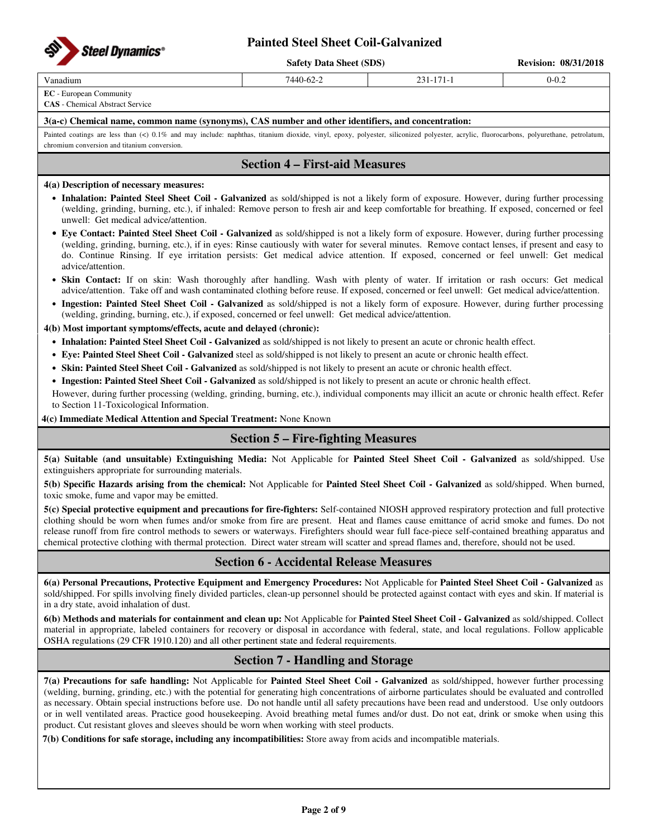

**Safety Data Sheet (SDS)** Revision: 08/31/2018

## Vanadium 7440-62-2 231-171-1 0-0.2

**EC** - European Community

**CAS** - Chemical Abstract Service

#### **3(a-c) Chemical name, common name (synonyms), CAS number and other identifiers, and concentration:**

Painted coatings are less than (<) 0.1% and may include: naphthas, titanium dioxide, vinyl, epoxy, polyester, siliconized polyester, acrylic, fluorocarbons, polyurethane, petrolatum, chromium conversion and titanium conversion.

## **Section 4 – First-aid Measures**

### **4(a) Description of necessary measures:**

- **Inhalation: Painted Steel Sheet Coil Galvanized** as sold/shipped is not a likely form of exposure. However, during further processing (welding, grinding, burning, etc.), if inhaled: Remove person to fresh air and keep comfortable for breathing. If exposed, concerned or feel unwell: Get medical advice/attention.
- **Eye Contact: Painted Steel Sheet Coil Galvanized** as sold/shipped is not a likely form of exposure. However, during further processing (welding, grinding, burning, etc.), if in eyes: Rinse cautiously with water for several minutes. Remove contact lenses, if present and easy to do. Continue Rinsing. If eye irritation persists: Get medical advice attention. If exposed, concerned or feel unwell: Get medical advice/attention.
- **Skin Contact:** If on skin: Wash thoroughly after handling. Wash with plenty of water. If irritation or rash occurs: Get medical advice/attention. Take off and wash contaminated clothing before reuse. If exposed, concerned or feel unwell: Get medical advice/attention.
- **Ingestion: Painted Steel Sheet Coil Galvanized** as sold/shipped is not a likely form of exposure. However, during further processing (welding, grinding, burning, etc.), if exposed, concerned or feel unwell: Get medical advice/attention.

### **4(b) Most important symptoms/effects, acute and delayed (chronic):**

- **Inhalation: Painted Steel Sheet Coil Galvanized** as sold/shipped is not likely to present an acute or chronic health effect.
- **Eye: Painted Steel Sheet Coil Galvanized** steel as sold/shipped is not likely to present an acute or chronic health effect.
- **Skin: Painted Steel Sheet Coil Galvanized** as sold/shipped is not likely to present an acute or chronic health effect.
- **Ingestion: Painted Steel Sheet Coil Galvanized** as sold/shipped is not likely to present an acute or chronic health effect.

However, during further processing (welding, grinding, burning, etc.), individual components may illicit an acute or chronic health effect. Refer to Section 11-Toxicological Information.

**4(c) Immediate Medical Attention and Special Treatment:** None Known

## **Section 5 – Fire-fighting Measures**

**5(a) Suitable (and unsuitable) Extinguishing Media:** Not Applicable for **Painted Steel Sheet Coil - Galvanized** as sold/shipped. Use extinguishers appropriate for surrounding materials.

**5(b) Specific Hazards arising from the chemical:** Not Applicable for **Painted Steel Sheet Coil - Galvanized** as sold/shipped. When burned, toxic smoke, fume and vapor may be emitted.

**5(c) Special protective equipment and precautions for fire-fighters:** Self-contained NIOSH approved respiratory protection and full protective clothing should be worn when fumes and/or smoke from fire are present. Heat and flames cause emittance of acrid smoke and fumes. Do not release runoff from fire control methods to sewers or waterways. Firefighters should wear full face-piece self-contained breathing apparatus and chemical protective clothing with thermal protection. Direct water stream will scatter and spread flames and, therefore, should not be used.

## **Section 6 - Accidental Release Measures**

**6(a) Personal Precautions, Protective Equipment and Emergency Procedures:** Not Applicable for **Painted Steel Sheet Coil - Galvanized** as sold/shipped. For spills involving finely divided particles, clean-up personnel should be protected against contact with eyes and skin. If material is in a dry state, avoid inhalation of dust.

**6(b) Methods and materials for containment and clean up:** Not Applicable for **Painted Steel Sheet Coil - Galvanized** as sold/shipped. Collect material in appropriate, labeled containers for recovery or disposal in accordance with federal, state, and local regulations. Follow applicable OSHA regulations (29 CFR 1910.120) and all other pertinent state and federal requirements.

## **Section 7 - Handling and Storage**

**7(a) Precautions for safe handling:** Not Applicable for **Painted Steel Sheet Coil - Galvanized** as sold/shipped, however further processing (welding, burning, grinding, etc.) with the potential for generating high concentrations of airborne particulates should be evaluated and controlled as necessary. Obtain special instructions before use. Do not handle until all safety precautions have been read and understood. Use only outdoors or in well ventilated areas. Practice good housekeeping. Avoid breathing metal fumes and/or dust. Do not eat, drink or smoke when using this product. Cut resistant gloves and sleeves should be worn when working with steel products.

**7(b) Conditions for safe storage, including any incompatibilities:** Store away from acids and incompatible materials.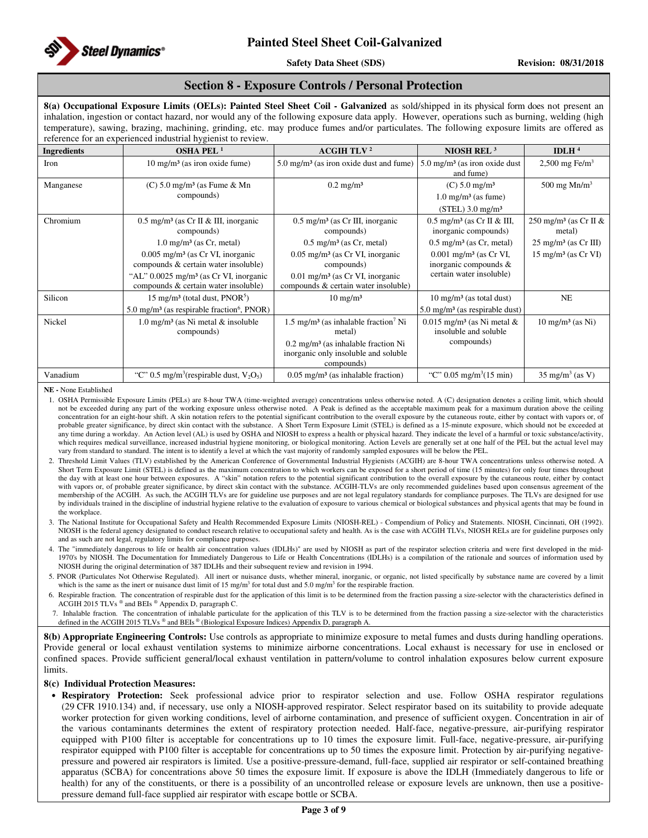

## **Section 8 - Exposure Controls / Personal Protection**

**8(a) Occupational Exposure Limits (OELs): Painted Steel Sheet Coil - Galvanized** as sold/shipped in its physical form does not present an inhalation, ingestion or contact hazard, nor would any of the following exposure data apply. However, operations such as burning, welding (high temperature), sawing, brazing, machining, grinding, etc. may produce fumes and/or particulates. The following exposure limits are offered as reference for an experienced industrial hygienist to review.

| <b>Ingredients</b> | <b>OSHA PEL<sup>1</sup></b>                                                                                               | <b>ACGIH TLV<sup>2</sup></b>                                                                                                                                    | NIOSH REL $3$                                                                                   | IDLH $4$                                    |
|--------------------|---------------------------------------------------------------------------------------------------------------------------|-----------------------------------------------------------------------------------------------------------------------------------------------------------------|-------------------------------------------------------------------------------------------------|---------------------------------------------|
| Iron               | $10 \text{ mg/m}^3$ (as iron oxide fume)                                                                                  | $5.0 \text{ mg/m}^3$ (as iron oxide dust and fume)                                                                                                              | $5.0 \text{ mg/m}^3$ (as iron oxide dust<br>and fume)                                           | 2,500 mg Fe/m <sup>3</sup>                  |
| Manganese          | $(C)$ 5.0 mg/m <sup>3</sup> (as Fume & Mn<br>compounds)                                                                   | $0.2 \text{ mg/m}^3$                                                                                                                                            | $(C) 5.0$ mg/m <sup>3</sup><br>$1.0 \text{ mg/m}^3$ (as fume)<br>$(STEL)$ 3.0 mg/m <sup>3</sup> | 500 mg $Mn/m3$                              |
| Chromium           | $0.5 \text{ mg/m}^3$ (as Cr II & III, inorganic<br>compounds)                                                             | $0.5 \text{ mg/m}^3$ (as Cr III, inorganic<br>compounds)                                                                                                        | $0.5$ mg/m <sup>3</sup> (as Cr II & III,<br>inorganic compounds)                                | 250 mg/m <sup>3</sup> (as Cr II &<br>metal) |
|                    | $1.0 \text{ mg/m}^3$ (as Cr, metal)                                                                                       | $0.5$ mg/m <sup>3</sup> (as Cr, metal)                                                                                                                          | $0.5 \text{ mg/m}^3$ (as Cr, metal)                                                             | $25 \text{ mg/m}^3$ (as Cr III)             |
|                    | $0.005$ mg/m <sup>3</sup> (as Cr VI, inorganic<br>compounds & certain water insoluble)                                    | $0.05$ mg/m <sup>3</sup> (as Cr VI, inorganic<br>compounds)                                                                                                     | $0.001$ mg/m <sup>3</sup> (as Cr VI,<br>inorganic compounds &                                   | $15 \text{ mg/m}^3$ (as Cr VI)              |
|                    | "AL" $0.0025$ mg/m <sup>3</sup> (as Cr VI, inorganic<br>compounds & certain water insoluble)                              | $0.01$ mg/m <sup>3</sup> (as Cr VI, inorganic<br>compounds & certain water insoluble)                                                                           | certain water insoluble)                                                                        |                                             |
| Silicon            | $15 \text{ mg/m}^3$ (total dust, PNOR <sup>5</sup> )<br>$5.0 \text{ mg/m}^3$ (as respirable fraction <sup>6</sup> , PNOR) | $10 \text{ mg/m}^3$                                                                                                                                             | $10 \text{ mg/m}^3$ (as total dust)<br>$5.0 \text{ mg/m}^3$ (as respirable dust)                | NE                                          |
| Nickel             | 1.0 mg/m <sup>3</sup> (as Ni metal & insoluble<br>compounds)                                                              | $1.5 \text{ mg/m}^3$ (as inhalable fraction <sup>7</sup> Ni<br>metal)<br>$0.2 \text{ mg/m}^3$ (as inhalable fraction Ni<br>inorganic only insoluble and soluble | $0.015$ mg/m <sup>3</sup> (as Ni metal &<br>insoluble and soluble<br>compounds)                 | $10 \text{ mg/m}^3$ (as Ni)                 |
|                    |                                                                                                                           | compounds)                                                                                                                                                      |                                                                                                 |                                             |
| Vanadium           | "C" 0.5 mg/m <sup>3</sup> (respirable dust, $V_2O_5$ )                                                                    | $0.05$ mg/m <sup>3</sup> (as inhalable fraction)                                                                                                                | "C" $0.05 \text{ mg/m}^3(15 \text{ min})$                                                       | $35 \text{ mg/m}^3$ (as V)                  |

**NE -** None Established

1. OSHA Permissible Exposure Limits (PELs) are 8-hour TWA (time-weighted average) concentrations unless otherwise noted. A (C) designation denotes a ceiling limit, which should not be exceeded during any part of the working exposure unless otherwise noted. A Peak is defined as the acceptable maximum peak for a maximum duration above the ceiling concentration for an eight-hour shift. A skin notation refers to the potential significant contribution to the overall exposure by the cutaneous route, either by contact with vapors or, of probable greater significance, by direct skin contact with the substance. A Short Term Exposure Limit (STEL) is defined as a 15-minute exposure, which should not be exceeded at any time during a workday. An Action level (AL) is used by OSHA and NIOSH to express a health or physical hazard. They indicate the level of a harmful or toxic substance/activity, which requires medical surveillance, increased industrial hygiene monitoring, or biological monitoring. Action Levels are generally set at one half of the PEL but the actual level may vary from standard to standard. The intent is to identify a level at which the vast majority of randomly sampled exposures will be below the PEL.

- 2. Threshold Limit Values (TLV) established by the American Conference of Governmental Industrial Hygienists (ACGIH) are 8-hour TWA concentrations unless otherwise noted. A Short Term Exposure Limit (STEL) is defined as the maximum concentration to which workers can be exposed for a short period of time (15 minutes) for only four times throughout the day with at least one hour between exposures. A "skin" notation refers to the potential significant contribution to the overall exposure by the cutaneous route, either by contact with vapors or, of probable greater significance, by direct skin contact with the substance. ACGIH-TLVs are only recommended guidelines based upon consensus agreement of the membership of the ACGIH. As such, the ACGIH TLVs are for guideline use purposes and are not legal regulatory standards for compliance purposes. The TLVs are designed for use by individuals trained in the discipline of industrial hygiene relative to the evaluation of exposure to various chemical or biological substances and physical agents that may be found in the workplace.
- 3. The National Institute for Occupational Safety and Health Recommended Exposure Limits (NIOSH-REL) Compendium of Policy and Statements. NIOSH, Cincinnati, OH (1992). NIOSH is the federal agency designated to conduct research relative to occupational safety and health. As is the case with ACGIH TLVs, NIOSH RELs are for guideline purposes only and as such are not legal, regulatory limits for compliance purposes.

4. The "immediately dangerous to life or health air concentration values (IDLHs)" are used by NIOSH as part of the respirator selection criteria and were first developed in the mid-1970's by NIOSH. The Documentation for Immediately Dangerous to Life or Health Concentrations (IDLHs) is a compilation of the rationale and sources of information used by NIOSH during the original determination of 387 IDLHs and their subsequent review and revision in 1994.

5. PNOR (Particulates Not Otherwise Regulated). All inert or nuisance dusts, whether mineral, inorganic, or organic, not listed specifically by substance name are covered by a limit which is the same as the inert or nuisance dust limit of 15 mg/m<sup>3</sup> for total dust and 5.0 mg/m<sup>3</sup> for the respirable fraction.

6. Respirable fraction. The concentration of respirable dust for the application of this limit is to be determined from the fraction passing a size-selector with the characteristics defined in ACGIH 2015 TLVs ® and BEIs ® Appendix D, paragraph C.

 7. Inhalable fraction. The concentration of inhalable particulate for the application of this TLV is to be determined from the fraction passing a size-selector with the characteristics defined in the ACGIH 2015 TLVs ® and BEIs ® (Biological Exposure Indices) Appendix D, paragraph A.

**8(b) Appropriate Engineering Controls:** Use controls as appropriate to minimize exposure to metal fumes and dusts during handling operations. Provide general or local exhaust ventilation systems to minimize airborne concentrations. Local exhaust is necessary for use in enclosed or confined spaces. Provide sufficient general/local exhaust ventilation in pattern/volume to control inhalation exposures below current exposure limits.

#### **8(c) Individual Protection Measures:**

• **Respiratory Protection:** Seek professional advice prior to respirator selection and use. Follow OSHA respirator regulations (29 CFR 1910.134) and, if necessary, use only a NIOSH-approved respirator. Select respirator based on its suitability to provide adequate worker protection for given working conditions, level of airborne contamination, and presence of sufficient oxygen. Concentration in air of the various contaminants determines the extent of respiratory protection needed. Half-face, negative-pressure, air-purifying respirator equipped with P100 filter is acceptable for concentrations up to 10 times the exposure limit. Full-face, negative-pressure, air-purifying respirator equipped with P100 filter is acceptable for concentrations up to 50 times the exposure limit. Protection by air-purifying negativepressure and powered air respirators is limited. Use a positive-pressure-demand, full-face, supplied air respirator or self-contained breathing apparatus (SCBA) for concentrations above 50 times the exposure limit. If exposure is above the IDLH (Immediately dangerous to life or health) for any of the constituents, or there is a possibility of an uncontrolled release or exposure levels are unknown, then use a positivepressure demand full-face supplied air respirator with escape bottle or SCBA.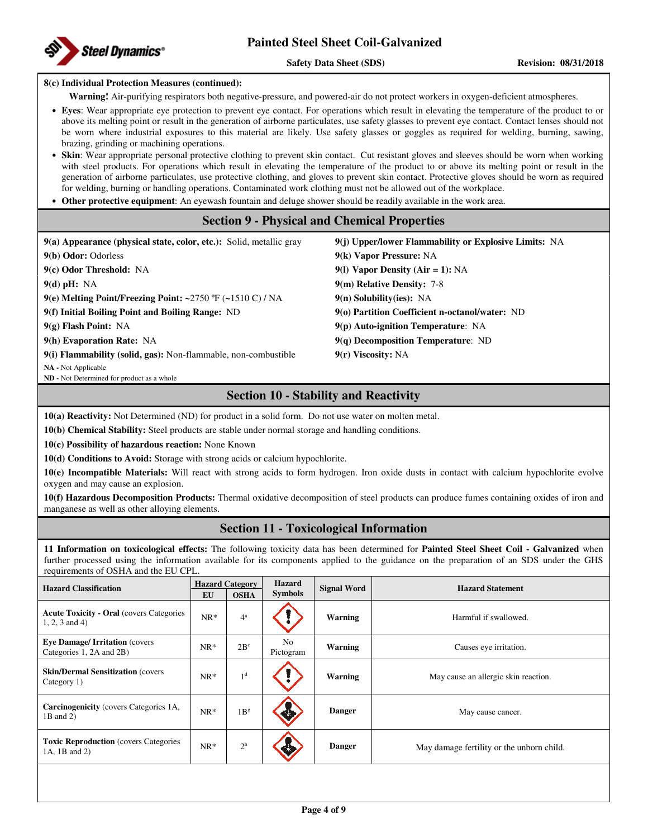

#### **Safety Data Sheet (SDS)** Revision: 08/31/2018

#### **8(c) Individual Protection Measures (continued):**

**Warning!** Air-purifying respirators both negative-pressure, and powered-air do not protect workers in oxygen-deficient atmospheres.

- **Eyes**: Wear appropriate eye protection to prevent eye contact. For operations which result in elevating the temperature of the product to or above its melting point or result in the generation of airborne particulates, use safety glasses to prevent eye contact. Contact lenses should not be worn where industrial exposures to this material are likely. Use safety glasses or goggles as required for welding, burning, sawing, brazing, grinding or machining operations.
- **Skin**: Wear appropriate personal protective clothing to prevent skin contact. Cut resistant gloves and sleeves should be worn when working with steel products. For operations which result in elevating the temperature of the product to or above its melting point or result in the generation of airborne particulates, use protective clothing, and gloves to prevent skin contact. Protective gloves should be worn as required for welding, burning or handling operations. Contaminated work clothing must not be allowed out of the workplace.
- **Other protective equipment**: An eyewash fountain and deluge shower should be readily available in the work area.

## **Section 9 - Physical and Chemical Properties**

| $9(a)$ Appearance (physical state, color, etc.): Solid, metallic gray | 9(j) Upper/lower Flammability or Explosive Limits: NA |
|-----------------------------------------------------------------------|-------------------------------------------------------|
| 9(b) Odor: Odorless                                                   | 9(k) Vapor Pressure: NA                               |
| 9(c) Odor Threshold: NA                                               | 9(1) Vapor Density (Air = 1): $NA$                    |
| $9(d)$ pH: NA                                                         | 9(m) Relative Density: 7-8                            |
| 9(e) Melting Point/Freezing Point: ~2750 $\degree$ F (~1510 C) / NA   | $9(n)$ Solubility(ies): NA                            |
| 9(f) Initial Boiling Point and Boiling Range: ND                      | 9(o) Partition Coefficient n-octanol/water: ND        |
| $9(g)$ Flash Point: NA                                                | $9(p)$ Auto-ignition Temperature: NA                  |
| 9(h) Evaporation Rate: NA                                             | $9(q)$ Decomposition Temperature: ND                  |
| 9(i) Flammability (solid, gas): Non-flammable, non-combustible        | $9(r)$ Viscosity: NA                                  |
| NA - Not Applicable                                                   |                                                       |
| ND - Not Determined for product as a whole                            |                                                       |

## **Section 10 - Stability and Reactivity**

**10(a) Reactivity:** Not Determined (ND) for product in a solid form. Do not use water on molten metal.

**10(b) Chemical Stability:** Steel products are stable under normal storage and handling conditions.

**10(c) Possibility of hazardous reaction:** None Known

**10(d) Conditions to Avoid:** Storage with strong acids or calcium hypochlorite.

**10(e) Incompatible Materials:** Will react with strong acids to form hydrogen. Iron oxide dusts in contact with calcium hypochlorite evolve oxygen and may cause an explosion.

**10(f) Hazardous Decomposition Products:** Thermal oxidative decomposition of steel products can produce fumes containing oxides of iron and manganese as well as other alloying elements.

## **Section 11 - Toxicological Information**

**11 Information on toxicological effects:** The following toxicity data has been determined for **Painted Steel Sheet Coil - Galvanized** when further processed using the information available for its components applied to the guidance on the preparation of an SDS under the GHS requirements of OSHA and the EU CPL.

| <b>Hazard Classification</b>                                         | <b>EU</b> | <b>Hazard Category</b><br><b>OSHA</b> | Hazard<br><b>Symbols</b> | <b>Signal Word</b> | <b>Hazard Statement</b>                   |
|----------------------------------------------------------------------|-----------|---------------------------------------|--------------------------|--------------------|-------------------------------------------|
| <b>Acute Toxicity - Oral (covers Categories)</b><br>$1, 2, 3$ and 4) | $NR^*$    | $4^a$                                 |                          | Warning            | Harmful if swallowed.                     |
| <b>Eye Damage/Irritation (covers)</b><br>Categories 1, 2A and 2B)    | $NR*$     | 2B <sup>c</sup>                       | No.<br>Pictogram         | Warning            | Causes eye irritation.                    |
| <b>Skin/Dermal Sensitization (covers)</b><br>Category 1)             | $NR*$     | 1 <sup>d</sup>                        |                          | Warning            | May cause an allergic skin reaction.      |
| <b>Carcinogenicity</b> (covers Categories 1A,<br>1B and 2)           | $NR*$     | 1B <sup>g</sup>                       |                          | <b>Danger</b>      | May cause cancer.                         |
| <b>Toxic Reproduction</b> (covers Categories)<br>1A, 1B and 2)       | $NR*$     | 2 <sup>h</sup>                        |                          | <b>Danger</b>      | May damage fertility or the unborn child. |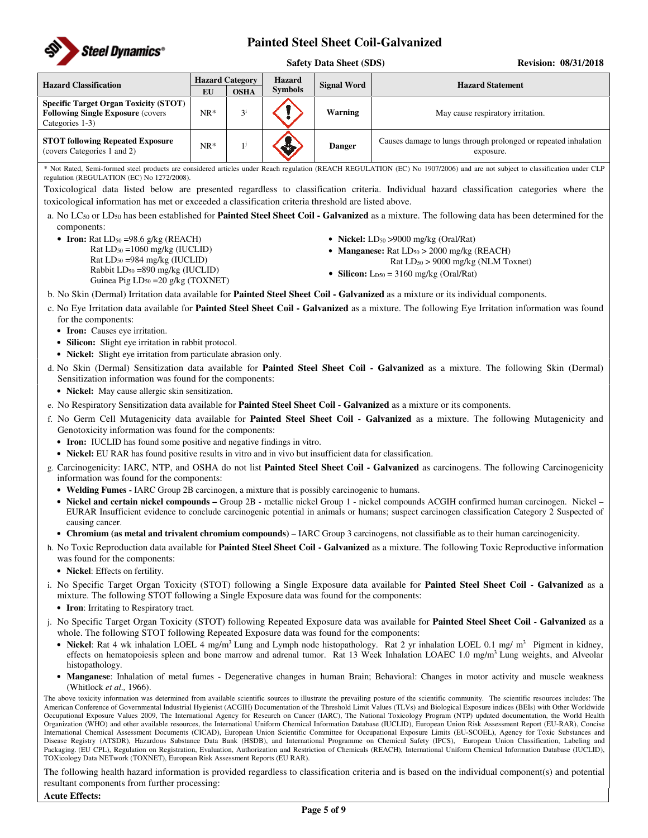

#### **Safety Data Sheet (SDS)** Revision: 08/31/2018

| <b>Hazard Classification</b>                                                                                 | <b>Hazard Category</b> |                | <b>Hazard</b><br><b>Signal Word</b> | <b>Hazard Statement</b> |                                                                              |  |
|--------------------------------------------------------------------------------------------------------------|------------------------|----------------|-------------------------------------|-------------------------|------------------------------------------------------------------------------|--|
|                                                                                                              | EU                     | <b>OSHA</b>    | <b>Symbols</b>                      |                         |                                                                              |  |
| <b>Specific Target Organ Toxicity (STOT)</b><br><b>Following Single Exposure (covers)</b><br>Categories 1-3) | $NR^*$                 | 2 <sup>1</sup> |                                     | Warning                 | May cause respiratory irritation.                                            |  |
| <b>STOT following Repeated Exposure</b><br>(covers Categories 1 and 2)                                       | $NR*$                  |                |                                     | <b>Danger</b>           | Causes damage to lungs through prolonged or repeated inhalation<br>exposure. |  |

\* Not Rated, Semi-formed steel products are considered articles under Reach regulation (REACH REGULATION (EC) No 1907/2006) and are not subject to classification under CLP regulation (REGULATION (EC) No 1272/2008).

Toxicological data listed below are presented regardless to classification criteria. Individual hazard classification categories where the toxicological information has met or exceeded a classification criteria threshold are listed above.

a. No LC50 or LD50 has been established for **Painted Steel Sheet Coil - Galvanized** as a mixture. The following data has been determined for the components:

• **Iron:** Rat  $LD_{50} = 98.6$  g/kg (REACH) Rat  $LD_{50} = 1060$  mg/kg (IUCLID)  $Rat LD<sub>50</sub> = 984 mg/kg (IUCLID)$  $Rabbit LD<sub>50</sub> = 890 mg/kg (IUCLID)$ Guinea Pig  $LD_{50} = 20$  g/kg (TOXNET)

- **Nickel:** LD<sub>50</sub> > 9000 mg/kg (Oral/Rat)
- **Manganese:** Rat  $LD_{50} > 2000$  mg/kg (REACH)
	- Rat LD50 > 9000 mg/kg (NLM Toxnet)
- **Silicon:**  $L_{D50} = 3160$  mg/kg (Oral/Rat)

b. No Skin (Dermal) Irritation data available for **Painted Steel Sheet Coil - Galvanized** as a mixture or its individual components.

- c. No Eye Irritation data available for **Painted Steel Sheet Coil Galvanized** as a mixture. The following Eye Irritation information was found for the components:
	- **Iron:** Causes eye irritation.
	- **Silicon:** Slight eye irritation in rabbit protocol.
	- **Nickel:** Slight eye irritation from particulate abrasion only.
- d. No Skin (Dermal) Sensitization data available for **Painted Steel Sheet Coil Galvanized** as a mixture. The following Skin (Dermal) Sensitization information was found for the components:
	- **Nickel:** May cause allergic skin sensitization.
- e. No Respiratory Sensitization data available for **Painted Steel Sheet Coil Galvanized** as a mixture or its components.
- f. No Germ Cell Mutagenicity data available for **Painted Steel Sheet Coil Galvanized** as a mixture. The following Mutagenicity and Genotoxicity information was found for the components:
	- **Iron:** IUCLID has found some positive and negative findings in vitro.
	- **Nickel:** EU RAR has found positive results in vitro and in vivo but insufficient data for classification.
- g. Carcinogenicity: IARC, NTP, and OSHA do not list **Painted Steel Sheet Coil Galvanized** as carcinogens. The following Carcinogenicity information was found for the components:
	- **Welding Fumes -** IARC Group 2B carcinogen, a mixture that is possibly carcinogenic to humans.
	- **Nickel and certain nickel compounds** Group 2B metallic nickel Group 1 nickel compounds ACGIH confirmed human carcinogen. Nickel EURAR Insufficient evidence to conclude carcinogenic potential in animals or humans; suspect carcinogen classification Category 2 Suspected of causing cancer.
	- **Chromium (as metal and trivalent chromium compounds)**  IARC Group 3 carcinogens, not classifiable as to their human carcinogenicity.
- h. No Toxic Reproduction data available for **Painted Steel Sheet Coil Galvanized** as a mixture. The following Toxic Reproductive information was found for the components:
	- **Nickel**: Effects on fertility.
- i. No Specific Target Organ Toxicity (STOT) following a Single Exposure data available for **Painted Steel Sheet Coil Galvanized** as a mixture. The following STOT following a Single Exposure data was found for the components:
	- **Iron**: Irritating to Respiratory tract.
- j. No Specific Target Organ Toxicity (STOT) following Repeated Exposure data was available for **Painted Steel Sheet Coil Galvanized** as a whole. The following STOT following Repeated Exposure data was found for the components:
	- Nickel: Rat 4 wk inhalation LOEL 4 mg/m<sup>3</sup> Lung and Lymph node histopathology. Rat 2 yr inhalation LOEL 0.1 mg/ m<sup>3</sup> Pigment in kidney, effects on hematopoiesis spleen and bone marrow and adrenal tumor. Rat 13 Week Inhalation LOAEC 1.0 mg/m<sup>3</sup> Lung weights, and Alveolar histopathology.
	- **Manganese**: Inhalation of metal fumes Degenerative changes in human Brain; Behavioral: Changes in motor activity and muscle weakness (Whitlock *et al.,* 1966).

The above toxicity information was determined from available scientific sources to illustrate the prevailing posture of the scientific community. The scientific resources includes: The American Conference of Governmental Industrial Hygienist (ACGIH) Documentation of the Threshold Limit Values (TLVs) and Biological Exposure indices (BEIs) with Other Worldwide Occupational Exposure Values 2009, The International Agency for Research on Cancer (IARC), The National Toxicology Program (NTP) updated documentation, the World Health Organization (WHO) and other available resources, the International Uniform Chemical Information Database (IUCLID), European Union Risk Assessment Report (EU-RAR), Concise International Chemical Assessment Documents (CICAD), European Union Scientific Committee for Occupational Exposure Limits (EU-SCOEL), Agency for Toxic Substances and Disease Registry (ATSDR), Hazardous Substance Data Bank (HSDB), and International Programme on Chemical Safety (IPCS), European Union Classification, Labeling and Packaging. (EU CPL), Regulation on Registration, Evaluation, Authorization and Restriction of Chemicals (REACH), International Uniform Chemical Information Database (IUCLID), TOXicology Data NETwork (TOXNET), European Risk Assessment Reports (EU RAR).

The following health hazard information is provided regardless to classification criteria and is based on the individual component(s) and potential resultant components from further processing: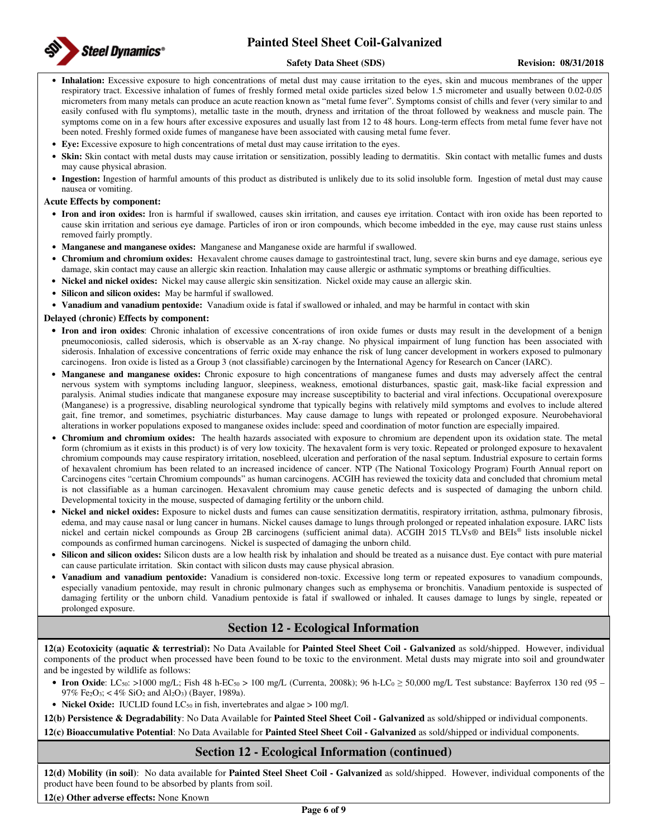

#### **Safety Data Sheet (SDS)** Revision: 08/31/2018

- **Inhalation:** Excessive exposure to high concentrations of metal dust may cause irritation to the eyes, skin and mucous membranes of the upper respiratory tract. Excessive inhalation of fumes of freshly formed metal oxide particles sized below 1.5 micrometer and usually between 0.02-0.05 micrometers from many metals can produce an acute reaction known as "metal fume fever". Symptoms consist of chills and fever (very similar to and easily confused with flu symptoms), metallic taste in the mouth, dryness and irritation of the throat followed by weakness and muscle pain. The symptoms come on in a few hours after excessive exposures and usually last from 12 to 48 hours. Long-term effects from metal fume fever have not been noted. Freshly formed oxide fumes of manganese have been associated with causing metal fume fever.
- **Eye:** Excessive exposure to high concentrations of metal dust may cause irritation to the eyes.
- **Skin:** Skin contact with metal dusts may cause irritation or sensitization, possibly leading to dermatitis. Skin contact with metallic fumes and dusts may cause physical abrasion.
- **Ingestion:** Ingestion of harmful amounts of this product as distributed is unlikely due to its solid insoluble form. Ingestion of metal dust may cause nausea or vomiting.

#### **Acute Effects by component:**

- **Iron and iron oxides:** Iron is harmful if swallowed, causes skin irritation, and causes eye irritation. Contact with iron oxide has been reported to cause skin irritation and serious eye damage. Particles of iron or iron compounds, which become imbedded in the eye, may cause rust stains unless removed fairly promptly.
- **Manganese and manganese oxides:** Manganese and Manganese oxide are harmful if swallowed.
- **Chromium and chromium oxides:** Hexavalent chrome causes damage to gastrointestinal tract, lung, severe skin burns and eye damage, serious eye damage, skin contact may cause an allergic skin reaction. Inhalation may cause allergic or asthmatic symptoms or breathing difficulties.
- **Nickel and nickel oxides:** Nickel may cause allergic skin sensitization. Nickel oxide may cause an allergic skin.
- **Silicon and silicon oxides:** May be harmful if swallowed.
- **Vanadium and vanadium pentoxide:** Vanadium oxide is fatal if swallowed or inhaled, and may be harmful in contact with skin

#### **Delayed (chronic) Effects by component:**

- **Iron and iron oxides**: Chronic inhalation of excessive concentrations of iron oxide fumes or dusts may result in the development of a benign pneumoconiosis, called siderosis, which is observable as an X-ray change. No physical impairment of lung function has been associated with siderosis. Inhalation of excessive concentrations of ferric oxide may enhance the risk of lung cancer development in workers exposed to pulmonary carcinogens. Iron oxide is listed as a Group 3 (not classifiable) carcinogen by the International Agency for Research on Cancer (IARC).
- **Manganese and manganese oxides:** Chronic exposure to high concentrations of manganese fumes and dusts may adversely affect the central nervous system with symptoms including languor, sleepiness, weakness, emotional disturbances, spastic gait, mask-like facial expression and paralysis. Animal studies indicate that manganese exposure may increase susceptibility to bacterial and viral infections. Occupational overexposure (Manganese) is a progressive, disabling neurological syndrome that typically begins with relatively mild symptoms and evolves to include altered gait, fine tremor, and sometimes, psychiatric disturbances. May cause damage to lungs with repeated or prolonged exposure. Neurobehavioral alterations in worker populations exposed to manganese oxides include: speed and coordination of motor function are especially impaired.
- **Chromium and chromium oxides:** The health hazards associated with exposure to chromium are dependent upon its oxidation state. The metal form (chromium as it exists in this product) is of very low toxicity. The hexavalent form is very toxic. Repeated or prolonged exposure to hexavalent chromium compounds may cause respiratory irritation, nosebleed, ulceration and perforation of the nasal septum. Industrial exposure to certain forms of hexavalent chromium has been related to an increased incidence of cancer. NTP (The National Toxicology Program) Fourth Annual report on Carcinogens cites "certain Chromium compounds" as human carcinogens. ACGIH has reviewed the toxicity data and concluded that chromium metal is not classifiable as a human carcinogen. Hexavalent chromium may cause genetic defects and is suspected of damaging the unborn child. Developmental toxicity in the mouse, suspected of damaging fertility or the unborn child.
- **Nickel and nickel oxides:** Exposure to nickel dusts and fumes can cause sensitization dermatitis, respiratory irritation, asthma, pulmonary fibrosis, edema, and may cause nasal or lung cancer in humans. Nickel causes damage to lungs through prolonged or repeated inhalation exposure. IARC lists nickel and certain nickel compounds as Group 2B carcinogens (sufficient animal data). ACGIH 2015 TLVs® and BEIs® lists insoluble nickel compounds as confirmed human carcinogens. Nickel is suspected of damaging the unborn child.
- **Silicon and silicon oxides:** Silicon dusts are a low health risk by inhalation and should be treated as a nuisance dust. Eye contact with pure material can cause particulate irritation. Skin contact with silicon dusts may cause physical abrasion.
- **Vanadium and vanadium pentoxide:** Vanadium is considered non-toxic. Excessive long term or repeated exposures to vanadium compounds, especially vanadium pentoxide, may result in chronic pulmonary changes such as emphysema or bronchitis. Vanadium pentoxide is suspected of damaging fertility or the unborn child. Vanadium pentoxide is fatal if swallowed or inhaled. It causes damage to lungs by single, repeated or prolonged exposure.

## **Section 12 - Ecological Information**

**12(a) Ecotoxicity (aquatic & terrestrial):** No Data Available for **Painted Steel Sheet Coil - Galvanized** as sold/shipped. However, individual components of the product when processed have been found to be toxic to the environment. Metal dusts may migrate into soil and groundwater and be ingested by wildlife as follows:

- **Iron Oxide**: LC<sub>50</sub>: >1000 mg/L; Fish 48 h-EC<sub>50</sub> > 100 mg/L (Currenta, 2008k); 96 h-LC<sub>0</sub> ≥ 50,000 mg/L Test substance: Bayferrox 130 red (95 97% Fe<sub>2</sub>O<sub>3</sub>; < 4% SiO<sub>2</sub> and Al<sub>2</sub>O<sub>3</sub>) (Bayer, 1989a).
- **Nickel Oxide:** IUCLID found LC<sub>50</sub> in fish, invertebrates and algae > 100 mg/l.

**12(b) Persistence & Degradability**: No Data Available for **Painted Steel Sheet Coil - Galvanized** as sold/shipped or individual components.

**12(c) Bioaccumulative Potential**: No Data Available for **Painted Steel Sheet Coil - Galvanized** as sold/shipped or individual components.

## **Section 12 - Ecological Information (continued)**

**12(d) Mobility (in soil)**: No data available for **Painted Steel Sheet Coil - Galvanized** as sold/shipped. However, individual components of the product have been found to be absorbed by plants from soil.

**12(e) Other adverse effects:** None Known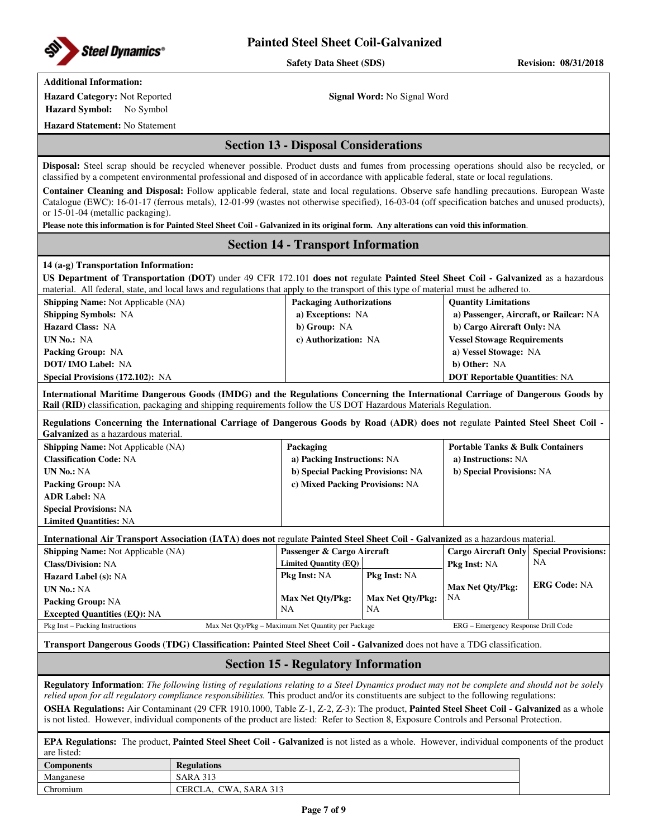

Safety Data Sheet (SDS) Revision: 08/31/2018

## **Additional Information:**

**Hazard Symbol:** No Symbol

**Hazard Category:** Not Reported **Signal Word:** No Signal Word

**Hazard Statement:** No Statement

## **Section 13 - Disposal Considerations**

**Disposal:** Steel scrap should be recycled whenever possible. Product dusts and fumes from processing operations should also be recycled, or classified by a competent environmental professional and disposed of in accordance with applicable federal, state or local regulations.

**Container Cleaning and Disposal:** Follow applicable federal, state and local regulations. Observe safe handling precautions. European Waste Catalogue (EWC): 16-01-17 (ferrous metals), 12-01-99 (wastes not otherwise specified), 16-03-04 (off specification batches and unused products), or 15-01-04 (metallic packaging).

**Please note this information is for Painted Steel Sheet Coil - Galvanized in its original form. Any alterations can void this information**.

## **Section 14 - Transport Information**

### **14 (a-g) Transportation Information:**

**US Department of Transportation (DOT)** under 49 CFR 172.101 **does not** regulate **Painted Steel Sheet Coil - Galvanized** as a hazardous material. All federal, state, and local laws and regulations that apply to the transport of this type of material must be adhered to.

| <b>Shipping Name:</b> Not Applicable (NA) | <b>Packaging Authorizations</b> | <b>Quantity Limitations</b>            |
|-------------------------------------------|---------------------------------|----------------------------------------|
| <b>Shipping Symbols: NA</b>               | a) Exceptions: NA               | a) Passenger, Aircraft, or Railcar: NA |
| <b>Hazard Class: NA</b>                   | b) Group: NA                    | b) Cargo Aircraft Only: NA             |
| UN No.: NA                                | c) Authorization: NA            | <b>Vessel Stowage Requirements</b>     |
| <b>Packing Group: NA</b>                  |                                 | a) Vessel Stowage: NA                  |
| <b>DOT/IMO Label: NA</b>                  |                                 | b) Other: NA                           |
| <b>Special Provisions (172.102): NA</b>   |                                 | <b>DOT Reportable Quantities: NA</b>   |

**International Maritime Dangerous Goods (IMDG) and the Regulations Concerning the International Carriage of Dangerous Goods by Rail (RID)** classification, packaging and shipping requirements follow the US DOT Hazardous Materials Regulation.

**Regulations Concerning the International Carriage of Dangerous Goods by Road (ADR) does not** regulate **Painted Steel Sheet Coil - Galvanized** as a hazardous material.

| <b>Shipping Name:</b> Not Applicable (NA) | Packaging                         | <b>Portable Tanks &amp; Bulk Containers</b> |
|-------------------------------------------|-----------------------------------|---------------------------------------------|
| <b>Classification Code: NA</b>            | a) Packing Instructions: NA       | a) Instructions: NA                         |
| <b>UN No.: NA</b>                         | b) Special Packing Provisions: NA | b) Special Provisions: NA                   |
| <b>Packing Group: NA</b>                  | c) Mixed Packing Provisions: NA   |                                             |
| <b>ADR Label: NA</b>                      |                                   |                                             |
| <b>Special Provisions: NA</b>             |                                   |                                             |
| <b>Limited Quantities: NA</b>             |                                   |                                             |

## **International Air Transport Association (IATA) does not** regulate **Painted Steel Sheet Coil - Galvanized** as a hazardous material.

| <b>Shipping Name:</b> Not Applicable (NA) |  | Passenger & Cargo Aircraft                         |                         | <b>Cargo Aircraft Only   Special Provisions:</b> |                     |
|-------------------------------------------|--|----------------------------------------------------|-------------------------|--------------------------------------------------|---------------------|
| <b>Class/Division: NA</b>                 |  | Limited Quantity (EQ)                              |                         | <b>Pkg Inst: NA</b>                              | NA                  |
| <b>Hazard Label (s): NA</b>               |  | <b>Pkg Inst: NA</b>                                | <b>Pkg Inst: NA</b>     |                                                  |                     |
| <b>UN No.: NA</b>                         |  |                                                    |                         | Max Net Oty/Pkg:                                 | <b>ERG Code: NA</b> |
| <b>Packing Group: NA</b>                  |  | Max Net Oty/Pkg:                                   | <b>Max Net Oty/Pkg:</b> | NA                                               |                     |
| <b>Excepted Quantities (EQ): NA</b>       |  | NA                                                 | NA                      |                                                  |                     |
| Pkg Inst – Packing Instructions           |  | Max Net Oty/Pkg – Maximum Net Quantity per Package |                         | ERG – Emergency Response Drill Code              |                     |

**Transport Dangerous Goods (TDG) Classification: Painted Steel Sheet Coil - Galvanized** does not have a TDG classification.

## **Section 15 - Regulatory Information**

**Regulatory Information**: *The following listing of regulations relating to a Steel Dynamics product may not be complete and should not be solely relied upon for all regulatory compliance responsibilities.* This product and/or its constituents are subject to the following regulations: **OSHA Regulations:** Air Contaminant (29 CFR 1910.1000, Table Z-1, Z-2, Z-3): The product, **Painted Steel Sheet Coil - Galvanized** as a whole

is not listed. However, individual components of the product are listed: Refer to Section 8, Exposure Controls and Personal Protection.

**EPA Regulations:** The product, **Painted Steel Sheet Coil - Galvanized** is not listed as a whole. However, individual components of the product are listed:

| <b>Components</b> | Kegulations                                               |  |
|-------------------|-----------------------------------------------------------|--|
| Manganese         | `ARA                                                      |  |
| Chromium          | $\alpha$<br><b>SARA 313</b><br>CERCLA.<br>$\sim$ $\cdots$ |  |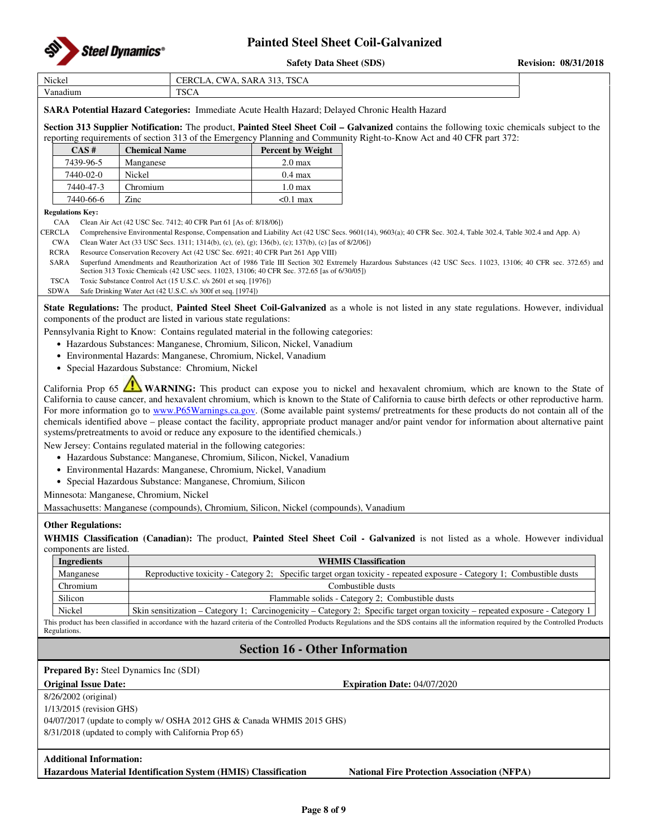

**Safety Data Sheet (SDS)** Revision: 08/31/2018

| Nickel<br>CERCLA, CWA, SARA 313, TSCA                                                                 |  |
|-------------------------------------------------------------------------------------------------------|--|
| Vanadium<br><b>TSCA</b>                                                                               |  |
| <b>SARA Potential Hazard Categories:</b> Immediate Acute Health Hazard; Delayed Chronic Health Hazard |  |

**Section 313 Supplier Notification:** The product, **Painted Steel Sheet Coil – Galvanized** contains the following toxic chemicals subject to the reporting requirements of section 313 of the Emergency Planning and Community Right-to-Know Act and 40 CFR part 372:

| CAS#      | <b>Chemical Name</b> | <b>Percent by Weight</b> |
|-----------|----------------------|--------------------------|
| 7439-96-5 | Manganese            | $2.0 \text{ max}$        |
| 7440-02-0 | Nickel               | $0.4 \text{ max}$        |
| 7440-47-3 | Chromium             | 1.0 <sub>max</sub>       |
| 7440-66-6 | Zinc                 | $< 0.1$ max              |

#### **Regulations Key:**

CAA Clean Air Act (42 USC Sec. 7412; 40 CFR Part 61 [As of: 8/18/06])

CERCLA Comprehensive Environmental Response, Compensation and Liability Act (42 USC Secs. 9601(14), 9603(a); 40 CFR Sec. 302.4, Table 302.4, Table 302.4 and App. A)

CWA Clean Water Act (33 USC Secs. 1311; 1314(b), (c), (e), (g); 136(b), (c); 137(b), (c) [as of 8/2/06])

RCRA Resource Conservation Recovery Act (42 USC Sec. 6921; 40 CFR Part 261 App VIII)

SARA Superfund Amendments and Reauthorization Act of 1986 Title III Section 302 Extremely Hazardous Substances (42 USC Secs. 11023, 13106; 40 CFR sec. 372.65) and Section 313 Toxic Chemicals (42 USC secs. 11023, 13106; 40 CFR Sec. 372.65 [as of 6/30/05])

TSCA Toxic Substance Control Act (15 U.S.C. s/s 2601 et seq. [1976])

SDWA Safe Drinking Water Act (42 U.S.C. s/s 300f et seq. [1974])

**State Regulations:** The product, **Painted Steel Sheet Coil-Galvanized** as a whole is not listed in any state regulations. However, individual components of the product are listed in various state regulations:

Pennsylvania Right to Know: Contains regulated material in the following categories:

- Hazardous Substances: Manganese, Chromium, Silicon, Nickel, Vanadium
- Environmental Hazards: Manganese, Chromium, Nickel, Vanadium
- Special Hazardous Substance: Chromium, Nickel

California Prop 65 **WARNING:** This product can expose you to nickel and hexavalent chromium, which are known to the State of California to cause cancer, and hexavalent chromium, which is known to the State of California to cause birth defects or other reproductive harm. For more information go to www.P65Warnings.ca.gov. (Some available paint systems/ pretreatments for these products do not contain all of the chemicals identified above – please contact the facility, appropriate product manager and/or paint vendor for information about alternative paint systems/pretreatments to avoid or reduce any exposure to the identified chemicals.)

New Jersey: Contains regulated material in the following categories:

- Hazardous Substance: Manganese, Chromium, Silicon, Nickel, Vanadium
- Environmental Hazards: Manganese, Chromium, Nickel, Vanadium
- Special Hazardous Substance: Manganese, Chromium, Silicon

Minnesota: Manganese, Chromium, Nickel

Massachusetts: Manganese (compounds), Chromium, Silicon, Nickel (compounds), Vanadium

### **Other Regulations:**

**WHMIS Classification (Canadian):** The product, **Painted Steel Sheet Coil - Galvanized** is not listed as a whole. However individual components are listed.

| <b>Ingredients</b> | <b>WHMIS Classification</b>                                                                                                    |
|--------------------|--------------------------------------------------------------------------------------------------------------------------------|
| Manganese          | Reproductive toxicity - Category 2; Specific target organ toxicity - repeated exposure - Category 1; Combustible dusts         |
| Chromium           | Combustible dusts-                                                                                                             |
| Silicon            | Flammable solids - Category 2: Combustible dusts                                                                               |
| Nickel             | Skin sensitization – Category 1; Carcinogenicity – Category 2; Specific target organ toxicity – repeated exposure - Category 1 |

This product has been classified in accordance with the hazard criteria of the Controlled Products Regulations and the SDS contains all the information required by the Controlled Products **Regulations** 

## **Section 16 - Other Information**

#### **Prepared By:** Steel Dynamics Inc (SDI)

| <b>Original Issue Date:</b> |  |  |
|-----------------------------|--|--|
|-----------------------------|--|--|

**Original Issue Date: Expiration Date:** 04/07/2020

8/26/2002 (original)

1/13/2015 (revision GHS)

04/07/2017 (update to comply w/ OSHA 2012 GHS & Canada WHMIS 2015 GHS)

8/31/2018 (updated to comply with California Prop 65)

### **Additional Information:**

**Hazardous Material Identification System (HMIS) Classification National Fire Protection Association (NFPA)**